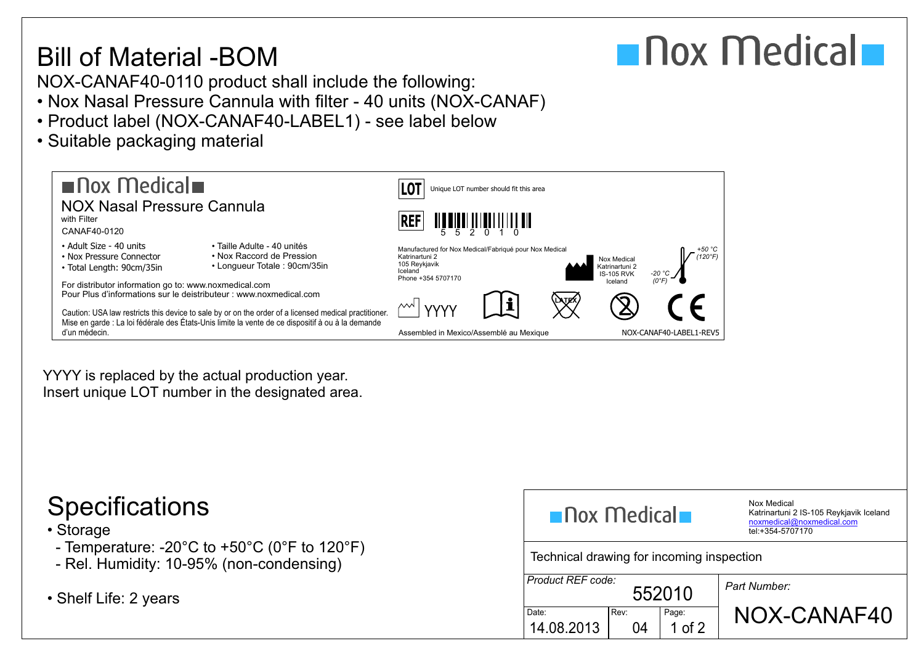## Bill of Material -BOM



NOX-CANAF40-0110 product shall include the following:

- Nox Nasal Pressure Cannula with filter 40 units (NOX-CANAF)
- Product label (NOX-CANAF40-LABEL1) see label below
- Suitable packaging material



YYYY is replaced by the actual production year. Insert unique LOT number in the designated area.

## • Storage

- Temperature: -20°C to +50°C (0°F to 120°F)
- Rel. Humidity: 10-95% (non-condensing)
- $\bullet$  Shelf Life: 2 years

| $\blacksquare$ Nox Medical $\blacksquare$ |            |                   | Nox Medical<br>Katrinartuni 2 IS-105 Reykjavik Iceland<br>noxmedical@noxmedical.com<br>tel:+354-5707170 |  |  |  |
|-------------------------------------------|------------|-------------------|---------------------------------------------------------------------------------------------------------|--|--|--|
| Technical drawing for incoming inspection |            |                   |                                                                                                         |  |  |  |
| Product REF code:<br>552010               |            |                   | Part Number:                                                                                            |  |  |  |
| Date:<br>14.08.2013                       | Rev:<br>04 | Page:<br>1 of $2$ | NOX-CANAF40                                                                                             |  |  |  |